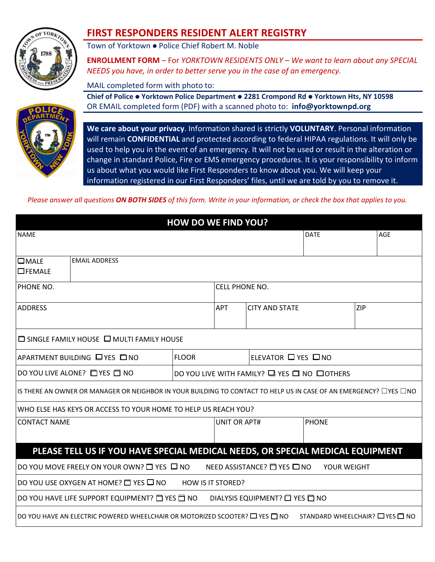

## **FIRST RESPONDERS RESIDENT ALERT REGISTRY**

Town of Yorktown ● Police Chief Robert M. Noble

**ENROLLMENT FORM** – For *YORKTOWN RESIDENTS ONLY* – *We want to learn about any SPECIAL NEEDS you have, in order to better serve you in the case of an emergency.*

MAIL completed form with photo to:

**Chief of Police Yorktown Police Department 2281 Crompond Rd Yorktown Hts, NY 10598** OR EMAIL completed form (PDF) with a scanned photo to: **info@yorktownpd.org**



**We care about your privacy**. Information shared is strictly **VOLUNTARY**. Personal information will remain **CONFIDENTIAL** and protected according to federal HIPAA regulations. It will only be used to help you in the event of an emergency. It will not be used or result in the alteration or change in standard Police, Fire or EMS emergency procedures. It is your responsibility to inform us about what you would like First Responders to know about you. We will keep your information registered in our First Responders' files, until we are told by you to remove it.

*Please answer all questions ON BOTH SIDES of this form. Write in your information, or check the box that applies to you.*

| <b>HOW DO WE FIND YOU?</b>                   |                                                                                                                               |                          |                                             |                                                      |                                |     |  |  |
|----------------------------------------------|-------------------------------------------------------------------------------------------------------------------------------|--------------------------|---------------------------------------------|------------------------------------------------------|--------------------------------|-----|--|--|
| <b>NAME</b>                                  |                                                                                                                               |                          |                                             |                                                      | <b>DATE</b>                    | AGE |  |  |
| $\square$ MALE<br>OFEMALE                    | <b>EMAIL ADDRESS</b>                                                                                                          |                          |                                             |                                                      |                                |     |  |  |
| PHONE NO.                                    |                                                                                                                               |                          | <b>CELL PHONE NO.</b>                       |                                                      |                                |     |  |  |
| <b>ADDRESS</b>                               |                                                                                                                               |                          | <b>APT</b>                                  | <b>CITY AND STATE</b>                                |                                | ZIP |  |  |
|                                              | $\Box$ SINGLE FAMILY HOUSE $\Box$ MULTI FAMILY HOUSE                                                                          |                          |                                             |                                                      |                                |     |  |  |
| APARTMENT BUILDING LYES LINO<br><b>FLOOR</b> |                                                                                                                               |                          |                                             | ELEVATOR □ YES □ NO                                  |                                |     |  |  |
| DO YOU LIVE ALONE? <b>EVES E</b> NO          |                                                                                                                               |                          | DO YOU LIVE WITH FAMILY? Q YES Q NO QOTHERS |                                                      |                                |     |  |  |
|                                              | IS THERE AN OWNER OR MANAGER OR NEIGHBOR IN YOUR BUILDING TO CONTACT TO HELP US IN CASE OF AN EMERGENCY? $\Box$ YES $\Box$ NO |                          |                                             |                                                      |                                |     |  |  |
|                                              | WHO ELSE HAS KEYS OR ACCESS TO YOUR HOME TO HELP US REACH YOU?                                                                |                          |                                             |                                                      |                                |     |  |  |
| <b>CONTACT NAME</b>                          |                                                                                                                               |                          | <b>UNIT OR APT#</b>                         |                                                      | <b>PHONE</b>                   |     |  |  |
|                                              | PLEASE TELL US IF YOU HAVE SPECIAL MEDICAL NEEDS, OR SPECIAL MEDICAL EQUIPMENT                                                |                          |                                             |                                                      |                                |     |  |  |
|                                              | DO YOU MOVE FREELY ON YOUR OWN? $\Box$ YES $\Box$ NO                                                                          |                          |                                             | NEED ASSISTANCE? □ YES □ NO                          | YOUR WEIGHT                    |     |  |  |
|                                              | DO YOU USE OXYGEN AT HOME? □ YES □ NO                                                                                         | <b>HOW IS IT STORED?</b> |                                             |                                                      |                                |     |  |  |
|                                              | DO YOU HAVE LIFE SUPPORT EQUIPMENT? $\Box$ YES $\Box$ NO                                                                      |                          |                                             | DIALYSIS EQUIPMENT? <sup>1</sup> YES <sup>1</sup> NO |                                |     |  |  |
|                                              | DO YOU HAVE AN ELECTRIC POWERED WHEELCHAIR OR MOTORIZED SCOOTER? $\square$ YES $\square$ NO                                   |                          |                                             |                                                      | STANDARD WHEELCHAIR? O YES ONO |     |  |  |